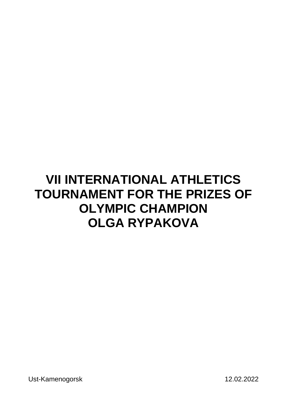Ust-Kamenogorsk 12.02.2022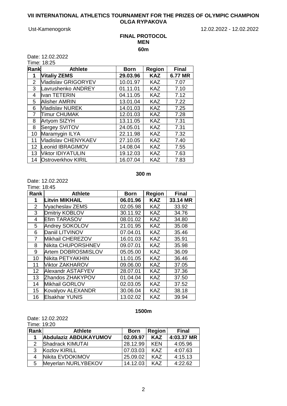Ust-Kamenogorsk 12.02.2022 - 12.02.2022

## **FINAL PROTOCOL MEN 60m**

Date: 12.02.2022

Time: 18:25

| Rank | <b>Athlete</b>             | <b>Born</b> | <b>Region</b> | <b>Final</b> |
|------|----------------------------|-------------|---------------|--------------|
| 1    | <b>Vitaliy ZEMS</b>        | 29.03.96    | <b>KAZ</b>    | 6.77 MR      |
| 2    | <b>Vladislav GRIGORYEV</b> | 10.01.97    | <b>KAZ</b>    | 7.07         |
| 3    | Lavrushenko ANDREY         | 01.11.01    | <b>KAZ</b>    | 7.10         |
| 4    | Ivan TETERIN               | 04.11.05    | <b>KAZ</b>    | 7.12         |
| 5    | <b>Alisher AMRIN</b>       | 13.01.04    | <b>KAZ</b>    | 7.22         |
| 6    | <b>Vladislav NUREK</b>     | 14.01.03    | <b>KAZ</b>    | 7.25         |
| 7    | Timur CHUMAK               | 12.01.03    | <b>KAZ</b>    | 7.28         |
| 8    | <b>Artyom SIZYH</b>        | 13.11.05    | <b>KAZ</b>    | 7.31         |
| 8    | Sergey SVITOV              | 24.05.01    | <b>KAZ</b>    | 7.31         |
| 10   | Maramygin ILYA             | 22.11.98    | <b>KAZ</b>    | 7.32         |
| 11   | Vladislav CHENYKAEV        | 27.10.05    | <b>KAZ</b>    | 7.40         |
| 12   | Leonid IBRAGIMOV           | 14.08.04    | <b>KAZ</b>    | 7.55         |
| 13   | Viktor IDIYATULIN          | 19.12.03    | <b>KAZ</b>    | 7.63         |
| 14   | <b>Ostroverkhov KIRIL</b>  | 16.07.04    | <b>KAZ</b>    | 7.83         |

#### **300 m**

Date: 12.02.2022 Time: 18:45

| Rank | <b>Athlete</b>        | <b>Born</b> | <b>Region</b> | <b>Final</b> |
|------|-----------------------|-------------|---------------|--------------|
| 1    | Litvin MIKHAIL        | 06.01.96    | <b>KAZ</b>    | 33.14 MR     |
| 2    | Vyacheslav ZEMS       | 02.05.98    | <b>KAZ</b>    | 33.92        |
| 3    | Dmitriy KOBLOV        | 30.11.92    | <b>KAZ</b>    | 34.76        |
| 4    | <b>Efim TARASOV</b>   | 08.01.02    | <b>KAZ</b>    | 34.80        |
| 5    | <b>Andrey SOKOLOV</b> | 21.01.95    | <b>KAZ</b>    | 35.08        |
| 6    | Daniil LITVINOV       | 07.04.01    | <b>KAZ</b>    | 35.46        |
| 7    | Mikhail CHEREZOV      | 16.01.03    | <b>KAZ</b>    | 35.91        |
| 8    | Nikita CHUPORSHNEV    | 09.07.01    | <b>KAZ</b>    | 35.98        |
| 9    | Artem DOBROSMISLOV    | 05.05.00    | <b>KAZ</b>    | 36.09        |
| 10   | Nikita PETYAKHIN      | 11.01.05    | <b>KAZ</b>    | 36.46        |
| 11   | Viktor ZAKHAROV       | 09.06.00    | <b>KAZ</b>    | 37.05        |
| 12   | Alexandr ASTAFYEV     | 28.07.01    | <b>KAZ</b>    | 37.36        |
| 13   | Zhandos ZHAKYPOV      | 01.04.04    | <b>KAZ</b>    | 37.50        |
| 14   | Mikhail GORLOV        | 02.03.05    | <b>KAZ</b>    | 37.52        |
| 15   | Kovalyov ALEXANDR     | 30.06.04    | <b>KAZ</b>    | 38.18        |
| 16   | <b>Elsakhar YUNIS</b> | 13.02.02    | <b>KAZ</b>    | 39.94        |

## **1500m**

## Date: 12.02.2022

Time: 19:20

| Rank | <b>Athlete</b>        | <b>Born</b> | <b>Region</b> | <b>Final</b> |  |
|------|-----------------------|-------------|---------------|--------------|--|
|      | Abdulaziz ABDUKAYUMOV | 02.09.97    | <b>KAZ</b>    | 4:03.37 MR   |  |
|      | Shadrack KIMUTAI      | 28.12.99    | <b>KEN</b>    | 4:05.96      |  |
| 3    | <b>Kozlov KIRILL</b>  | 07.03.03    | <b>KAZ</b>    | 4:07.63      |  |
| 4    | Nikita EVDOKIMOV      | 25.09.02    | <b>KAZ</b>    | 4:15.13      |  |
| 5    | Meyerlan NURLYBEKOV   | 14.12.03    | KA7           | 4:22.62      |  |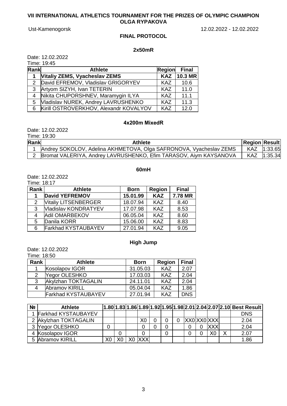Ust-Kamenogorsk 12.02.2022 - 12.02.2022

## **FINAL PROTOCOL**

## **2x50mR**

Date: 12.02.2022  $.10.45$ 

| ıme: 1 | 19:4<br>46 |
|--------|------------|
|        |            |

| Rank | <b>Athlete</b>                           |            | Region Final |
|------|------------------------------------------|------------|--------------|
|      | <b>Vitaliy ZEMS, Vyacheslav ZEMS</b>     | <b>KAZ</b> | $10.3$ MR    |
|      | 2 David EFREMOV, Vladislav GRIGORYEV     | <b>KAZ</b> | 10.6         |
| 3    | Artyom SIZYH, Ivan TETERIN               | KAZ        | 11.0         |
|      | 4 Nikita CHUPORSHNEV, Maramygin ILYA     | <b>KAZ</b> | 11.1         |
| 5.   | Vladislav NUREK, Andrey LAVRUSHENKO      | <b>KAZ</b> | 11.3         |
|      | 6 Kirill OSTROVERKHOV, Alexandr KOVALYOV | <b>KAZ</b> | 12.0         |

## **4х200m MixedR**

Date: 12.02.2022

|      | Time: 19:30                                                        |                      |              |
|------|--------------------------------------------------------------------|----------------------|--------------|
| Rank | <b>Athlete</b>                                                     | <b>Region Result</b> |              |
|      | Andrey SOKOLOV, Adelina AKHMETOVA, Olga SAFRONOVA, Vyacheslav ZEMS |                      | KAZ  1:33.65 |
|      | Bromat VALERIYA, Andrey LAVRUSHENKO, Efim TARASOV, Aiym KAYSANOVA  |                      | KAZ 1:35.34  |

# **60mH**

Date: 12.02.2022

Time: 18:17

| <b>Rank</b> | <b>Athlete</b>              | <b>Born</b> | <b>Region</b> | <b>Final</b> |
|-------------|-----------------------------|-------------|---------------|--------------|
| $\mathbf 1$ | <b>David YEFREMOV</b>       | 15.01.99    | <b>KAZ</b>    | 7.78 MR      |
| 2           | <b>Vitaliy LITSENBERGER</b> | 18.07.94    | <b>KAZ</b>    | 8.40         |
| 3           | Vladislav KONDRATYEV        | 17.07.98    | <b>KAZ</b>    | 8.53         |
| 4           | Adil OMARBEKOV              | 06.05.04    | <b>KAZ</b>    | 8.60         |
| 5           | Danila KORR                 | 15.06.00    | <b>KAZ</b>    | 8.83         |
| 6           | <b>Farkhad KYSTAUBAYEV</b>  | 27.01.94    | <b>KAZ</b>    | 9.05         |

# **High Jump**

Date: 12.02.2022

Time: 18:50

| Rank | <b>Athlete</b>             | <b>Born</b> | <b>Region</b> | <b>Final</b> |
|------|----------------------------|-------------|---------------|--------------|
|      | Kosolapov IGOR             | 31.05.03    | <b>KAZ</b>    | 2.07         |
| 2    | Yegor OLESHKO              | 17.03.03    | <b>KAZ</b>    | 2.04         |
| 3    | Akylzhan TOKTAGALIN        | 24.11.01    | <b>KAZ</b>    | 2.04         |
| 4    | <b>Abramov KIRILL</b>      | 05.04.04    | <b>KAZ</b>    | 1.86         |
|      | <b>Farkhad KYSTAUBAYEV</b> | 27.01.94    | <b>KAZ</b>    | <b>DNS</b>   |

| Nº | <b>Athlete</b>             |  |        |   |  |             |            |
|----|----------------------------|--|--------|---|--|-------------|------------|
|    | <b>Farkhad KYSTAUBAYEV</b> |  |        |   |  |             | <b>DNS</b> |
|    | 2 Akylzhan TOKTAGALIN      |  | X0     |   |  | XX0 XX0 XXX | 2.04       |
|    | 3 Yegor OLESHKO            |  |        |   |  | <b>XXX</b>  | 2.04       |
|    | 4 Kosolapov IGOR           |  |        | 0 |  |             | 2.07       |
|    | 5 Abramov KIRILL           |  | X0 XXX |   |  |             | 1.86       |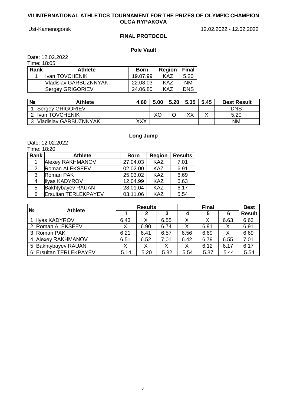Ust-Kamenogorsk 12.02.2022 - 12.02.2022

# **FINAL PROTOCOL**

# **Pole Vault**

Date: 12.02.2022

Time: 18:05

| Rank | <b>Athlete</b>               | <b>Born</b> | <b>Region</b> | <b>Final</b> |
|------|------------------------------|-------------|---------------|--------------|
|      | <b>Ilvan TOVCHENIK</b>       | 19.07.99    | KA7           | 5.20         |
|      | <b>Vladislav GARBUZNNYAK</b> | 22.08.03    | KAZ           | <b>NM</b>    |
|      | <b>Sergey GRIGORIEV</b>      | 24.06.80    | KA7           | <b>DNS</b>   |

| Νº | <b>Athlete</b>               | 4.60 | 5.00 | 5.20 | 5.35 | 5.45 | <b>Best Result</b> |
|----|------------------------------|------|------|------|------|------|--------------------|
|    | <b>Sergey GRIGORIEV</b>      |      |      |      |      |      | <b>DNS</b>         |
|    | <b>Ivan TOVCHENIK</b>        |      | ХC   |      | XХ   |      | 5.20               |
|    | <b>Vladislav GARBUZNNYAK</b> | XXX  |      |      |      |      | <b>NM</b>          |

# **Long Jump**

Date: 12.02.2022

| Time: 18:20 |  |
|-------------|--|
|             |  |

| Rank | <b>Athlete</b>              | <b>Born</b> | <b>Region</b> | <b>Results</b> |
|------|-----------------------------|-------------|---------------|----------------|
|      | Alexey RAKHMANOV            | 27.04.03    | <b>KAZ</b>    | 7.01           |
| 2    | Roman ALEKSEEV              | 02.02.00    | <b>KAZ</b>    | 6.91           |
| 3    | Roman PAK                   | 25.03.02    | <b>KAZ</b>    | 6.69           |
| 4    | Ilyas KADYROV               | 12.04.99    | <b>KAZ</b>    | 6.63           |
| 5    | <b>Bakhtybayev RAUAN</b>    | 28.01.04    | <b>KAZ</b>    | 6.17           |
| 6    | <b>Ersultan TERLEKPAYEV</b> | 03.11.06    | <b>KAZ</b>    | 5.54           |

| N <sub>2</sub> | <b>Athlete</b>         | <b>Results</b> |      |      |      | <b>Best</b> |      |               |
|----------------|------------------------|----------------|------|------|------|-------------|------|---------------|
|                |                        |                | 2    | 3    |      | 5           | 6    | <b>Result</b> |
|                | <b>Illyas KADYROV</b>  | 6.43           | х    | 6.55 |      |             | 6.63 | 6.63          |
|                | 2 Roman ALEKSEEV       |                | 6.90 | 6.74 |      | 6.91        | Χ    | 6.91          |
|                | 3 Roman PAK            | 6.21           | 6.41 | 6.57 | 6.56 | 6.69        | Χ    | 6.69          |
| 4              | Alexey RAKHMANOV       | 6.51           | 6.52 | 7.01 | 6.42 | 6.79        | 6.55 | 7.01          |
|                | 5 Bakhtybayev RAUAN    |                |      |      |      | 6.12        | 6.17 | 6.17          |
|                | 6 Ersultan TERLEKPAYEV | 5.14           | 5.20 | 5.32 | 5.54 | 5.37        | 5.44 | 5.54          |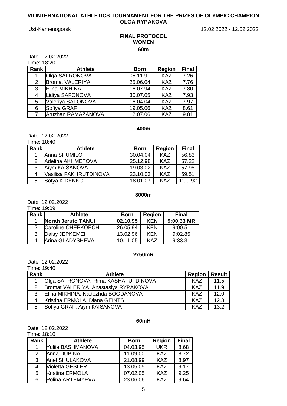Ust-Kamenogorsk 12.02.2022 - 12.02.2022

## **FINAL PROTOCOL WOMEN 60m**

Date: 12.02.2022

Time: 18:20

| Rank | <b>Athlete</b>         | <b>Born</b> | <b>Region</b> | <b>Final</b> |
|------|------------------------|-------------|---------------|--------------|
|      | Olga SAFRONOVA         | 05.11.91    | <b>KAZ</b>    | 7.26         |
| 2    | <b>Bromat VALERIYA</b> | 25.06.04    | <b>KAZ</b>    | 7.76         |
| 3    | Elina MIKHINA          | 16.07.94    | <b>KAZ</b>    | 7.80         |
| 4    | Lidiya SAFONOVA        | 30.07.05    | <b>KAZ</b>    | 7.93         |
| 5    | Valeriya SAFONOVA      | 16.04.04    | <b>KAZ</b>    | 7.97         |
| 6    | Sofiya GRAF            | 19.05.06    | <b>KAZ</b>    | 8.61         |
|      | Aruzhan RAMAZANOVA     | 12.07.06    | <b>KAZ</b>    | 9.81         |

## **400m**

Date: 12.02.2022 Time: 18:40

| <u>IIIII 6. IO. 40</u> |                        |             |               |              |
|------------------------|------------------------|-------------|---------------|--------------|
| Rank                   | <b>Athlete</b>         | <b>Born</b> | <b>Region</b> | <b>Final</b> |
|                        | Anna SHUMILO           | 30.04.04    | <b>KAZ</b>    | 56.83        |
| 2                      | Adelina AKHMETOVA      | 25.12.98    | <b>KAZ</b>    | 57.22        |
| 3                      | Aiym KAISANOVA         | 19.03.02    | <b>KAZ</b>    | 57.98        |
| 4                      | Vasilisa FAKHRUTDINOVA | 23.10.03    | <b>KAZ</b>    | 59.51        |
| 5.                     | Sofya KIDENKO          | 18.01.07    | <b>KAZ</b>    | 1:00.92      |

## **3000m**

Date: 12.02.2022

Time: 19:09

| Rank | <b>Athlete</b>            | <b>Born</b> | <b>Region</b> | <b>Final</b> |
|------|---------------------------|-------------|---------------|--------------|
|      | <b>Norah Jeruto TANUI</b> | 02.10.95    | <b>KEN</b>    | 9:00.33 MR   |
|      | Caroline CHEPKOECH        | 26.05.94    | <b>KEN</b>    | 9:00.51      |
| 3    | Daisy JEPKEMEI            | 13.02.96    | <b>KFN</b>    | 9:02.85      |
|      | Arina GLADYSHEVA          | 10.11.05    | KA7           | 9:33.31      |

# **2x50mR**

Date: 12.02.2022 Time: 19:40

| Rank | <b>Athlete</b>                       | <b>Region</b> | <b>Result</b> |
|------|--------------------------------------|---------------|---------------|
|      | Olga SAFRONOVA, Rima KASHAFUTDINOVA  | KAZ           | 11.5          |
| 2    | Bromat VALERIYA, Anastasiya RYPAKOVA | KAZ           | 11.9          |
| 3    | Elina MIKHINA, Nadezhda BOGDANOVA    | KAZ           | 12.0          |
| 4    | Kristina ERMOLA, Diana GEINTS        | KAZ           | 12.3          |
| 5    | Sofiya GRAF, Aiym KAISANOVA          | KA7           | 13.2          |

#### **60mH**

Date: 12.02.2022 Time: 18:10

| TIME. TO. TU |                        |             |               |              |
|--------------|------------------------|-------------|---------------|--------------|
| Rank         | <b>Athlete</b>         | <b>Born</b> | <b>Region</b> | <b>Final</b> |
|              | Yuliia BASHMANOVA      | 04.03.95    | <b>UKR</b>    | 8.68         |
| 2            | Anna DUBINA            | 11.09.00    | <b>KAZ</b>    | 8.72         |
| $\mathbf{3}$ | Anel SHULAKOVA         | 21.08.99    | <b>KAZ</b>    | 8.97         |
| 4            | <b>Violetta GESLER</b> | 13.05.05    | <b>KAZ</b>    | 9.17         |
| 5            | Kristina ERMOLA        | 07.02.05    | <b>KAZ</b>    | 9.25         |
| 6            | Polina ARTEMYEVA       | 23.06.06    | <b>KAZ</b>    | 9.64         |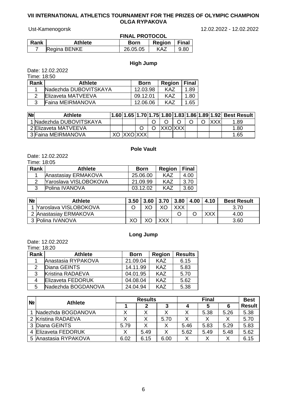Ust-Kamenogorsk 12.02.2022 - 12.02.2022

|      |                | <b>FINAL PROTOCOL</b> |                |      |  |  |
|------|----------------|-----------------------|----------------|------|--|--|
| Rank | <b>Athlete</b> | <b>Born</b>           | Region   Final |      |  |  |
|      | Regina BENKE   | 26.05.05              | KAZ            | 9.80 |  |  |

# **High Jump**

Date: 12.02.2022 Time: 18:50

| TIME. TO.OU |                         |             |                |      |
|-------------|-------------------------|-------------|----------------|------|
| Rank        | <b>Athlete</b>          | <b>Born</b> | Region   Final |      |
|             | Nadezhda DUBOVITSKAYA   | 12.03.98    | KA7            | 1.89 |
|             | Elizaveta MATVEEVA      | 09.12.01    | KA7            | 1.80 |
| າ           | <b>Faina MEIRMANOVA</b> | 12.06.06    | KA7            | 1.65 |

| N <sub>2</sub> | <b>Athlete</b>          |  |  |     |  |  | 1.60  1.65  1.70  1.75  1.80  1.83  1.86  1.89  1.92  Best Result |
|----------------|-------------------------|--|--|-----|--|--|-------------------------------------------------------------------|
|                | 1 Nadezhda DUBOVITSKAYA |  |  |     |  |  | .89                                                               |
|                | 2 Elizaveta MATVEEVA    |  |  | vvr |  |  | 1.80                                                              |
|                | 3 Faina MEIRMANOVA      |  |  |     |  |  | 1.65                                                              |

# **Pole Vault**

Date: 12.02.2022 Time: 18:05

| 11110.100 |                              |             |        |       |
|-----------|------------------------------|-------------|--------|-------|
| Rank      | <b>Athlete</b>               | <b>Born</b> | Region | Final |
|           | Anastasiay ERMAKOVA          | 25,06,00    | KA7    | 4.00  |
|           | <b>Yaroslava VISLOBOKOVA</b> | 21.09.99    | KA7    | 3.70  |
|           | Polina IVANOVA               | 03.12.02    | KA7    | 3.60  |
|           |                              |             |        |       |

| N <sub>2</sub> | Athlete                 | 3.50 | 3.60 3.70 3.80 4.00 |     | 4.10 | <b>Best Result</b> |
|----------------|-------------------------|------|---------------------|-----|------|--------------------|
|                | 1 Yaroslava VISLOBOKOVA |      |                     | XXX |      | 3.70               |
|                | 2 Anastasiay ERMAKOVA   |      |                     |     | vvv  | 4.00               |
|                | 3 Polina IVANOVA        | XС   | XXX                 |     |      | 3.60               |

# **Long Jump**

Date: 12.02.2022

Time: 18:20

| Rank | <b>Athlete</b>          | <b>Born</b> | <b>Region</b> | <b>Results</b> |  |
|------|-------------------------|-------------|---------------|----------------|--|
|      | Anastasia RYPAKOVA      | 21.09.04    | <b>KAZ</b>    | 6.15           |  |
| 2    | Diana GEINTS            | 14.11.99    | <b>KAZ</b>    | 5.83           |  |
| 3    | <b>Kristina RADAEVA</b> | 04.01.95    | <b>KAZ</b>    | 5.70           |  |
| 4    | Elizaveta FEDORUK       | 04.08.04    | <b>KAZ</b>    | 5.62           |  |
| 5    | Nadezhda BOGDANOVA      | 24.04.94    | KA7           | 5.38           |  |

| N <sub>2</sub> | <b>Athlete</b>           | <b>Results</b> |      |      | <b>Final</b> |      |      | <b>Best</b>   |
|----------------|--------------------------|----------------|------|------|--------------|------|------|---------------|
|                |                          |                | 2    |      | 4            | э    | 6    | <b>Result</b> |
|                | Nadezhda BOGDANOVA       |                |      |      |              | 5.38 | 5.26 | 5.38          |
|                | 2 Kristina RADAEVA       |                |      | 5.70 |              |      |      | 5.70          |
| 3              | Diana GEINTS             | 5.79           |      |      | 5.46         | 5.83 | 5.29 | 5.83          |
|                | <b>Elizaveta FEDORUK</b> |                | 5.49 |      | 5.62         | 5.49 | 5.48 | 5.62          |
| 5              | Anastasia RYPAKOVA       | 6.02           | 6.15 | 6.00 |              |      |      | 6.15          |